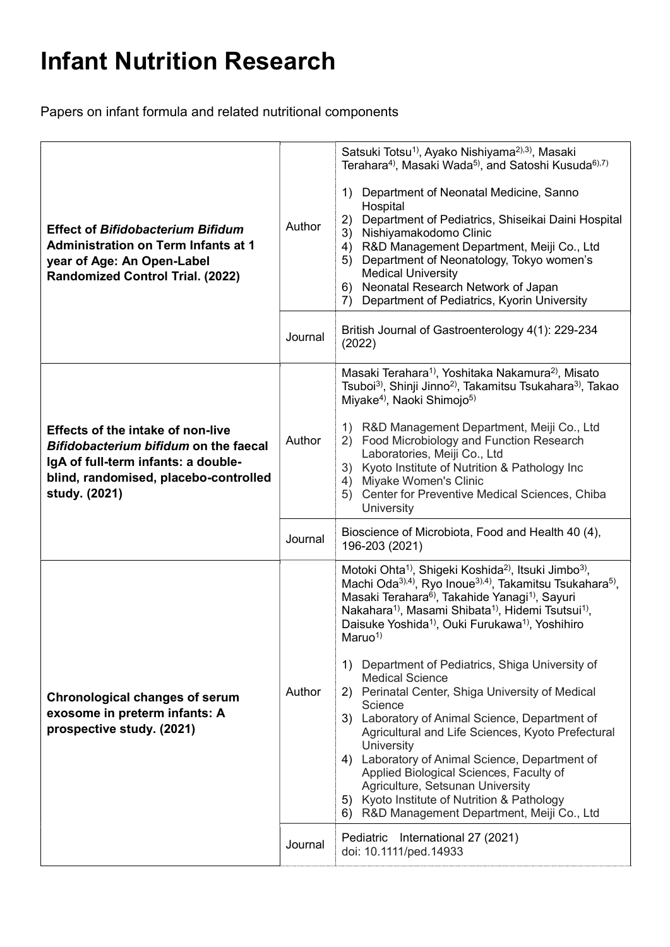## Infant Nutrition Research

Papers on infant formula and related nutritional components

| <b>Effect of Bifidobacterium Bifidum</b><br><b>Administration on Term Infants at 1</b><br>year of Age: An Open-Label<br><b>Randomized Control Trial. (2022)</b>                    | Author  | Satsuki Totsu <sup>1)</sup> , Ayako Nishiyama <sup>2),3)</sup> , Masaki<br>Terahara <sup>4)</sup> , Masaki Wada <sup>5)</sup> , and Satoshi Kusuda <sup>6),7)</sup><br>Department of Neonatal Medicine, Sanno<br>1)<br>Hospital<br>Department of Pediatrics, Shiseikai Daini Hospital<br>2)<br>Nishiyamakodomo Clinic<br>3)<br>R&D Management Department, Meiji Co., Ltd<br>4)<br>Department of Neonatology, Tokyo women's<br>5)<br><b>Medical University</b><br>Neonatal Research Network of Japan<br>6)<br>Department of Pediatrics, Kyorin University<br>7)                                                                                                                                                                                                                                                                                                                                                                                                |
|------------------------------------------------------------------------------------------------------------------------------------------------------------------------------------|---------|---------------------------------------------------------------------------------------------------------------------------------------------------------------------------------------------------------------------------------------------------------------------------------------------------------------------------------------------------------------------------------------------------------------------------------------------------------------------------------------------------------------------------------------------------------------------------------------------------------------------------------------------------------------------------------------------------------------------------------------------------------------------------------------------------------------------------------------------------------------------------------------------------------------------------------------------------------------|
|                                                                                                                                                                                    | Journal | British Journal of Gastroenterology 4(1): 229-234<br>(2022)                                                                                                                                                                                                                                                                                                                                                                                                                                                                                                                                                                                                                                                                                                                                                                                                                                                                                                   |
| <b>Effects of the intake of non-live</b><br>Bifidobacterium bifidum on the faecal<br>IgA of full-term infants: a double-<br>blind, randomised, placebo-controlled<br>study. (2021) | Author  | Masaki Terahara <sup>1)</sup> , Yoshitaka Nakamura <sup>2)</sup> , Misato<br>Tsuboi <sup>3)</sup> , Shinji Jinno <sup>2)</sup> , Takamitsu Tsukahara <sup>3)</sup> , Takao<br>Miyake <sup>4)</sup> , Naoki Shimojo <sup>5)</sup><br>1) R&D Management Department, Meiji Co., Ltd<br>Food Microbiology and Function Research<br>(2)<br>Laboratories, Meiji Co., Ltd<br>3) Kyoto Institute of Nutrition & Pathology Inc<br>Miyake Women's Clinic<br>4)<br>Center for Preventive Medical Sciences, Chiba<br>5)<br>University                                                                                                                                                                                                                                                                                                                                                                                                                                     |
|                                                                                                                                                                                    | Journal | Bioscience of Microbiota, Food and Health 40 (4),<br>196-203 (2021)                                                                                                                                                                                                                                                                                                                                                                                                                                                                                                                                                                                                                                                                                                                                                                                                                                                                                           |
| Chronological changes of serum<br>exosome in preterm infants: A<br>prospective study. (2021)                                                                                       | Author  | Motoki Ohta <sup>1)</sup> , Shigeki Koshida <sup>2)</sup> , Itsuki Jimbo <sup>3)</sup> ,<br>Machi Oda <sup>3),4)</sup> , Ryo Inoue <sup>3),4)</sup> , Takamitsu Tsukahara <sup>5)</sup> ,<br>Masaki Terahara <sup>6</sup> , Takahide Yanagi <sup>1)</sup> , Sayuri<br>Nakahara <sup>1</sup> , Masami Shibata <sup>1</sup> , Hidemi Tsutsui <sup>1</sup> ,<br>Daisuke Yoshida <sup>1</sup> , Ouki Furukawa <sup>1</sup> , Yoshihiro<br>Maruo <sup>1</sup><br>Department of Pediatrics, Shiga University of<br>1)<br><b>Medical Science</b><br>2) Perinatal Center, Shiga University of Medical<br>Science<br>3) Laboratory of Animal Science, Department of<br>Agricultural and Life Sciences, Kyoto Prefectural<br>University<br>4) Laboratory of Animal Science, Department of<br>Applied Biological Sciences, Faculty of<br>Agriculture, Setsunan University<br>5) Kyoto Institute of Nutrition & Pathology<br>6) R&D Management Department, Meiji Co., Ltd |
|                                                                                                                                                                                    | Journal | Pediatric International 27 (2021)<br>doi: 10.1111/ped.14933                                                                                                                                                                                                                                                                                                                                                                                                                                                                                                                                                                                                                                                                                                                                                                                                                                                                                                   |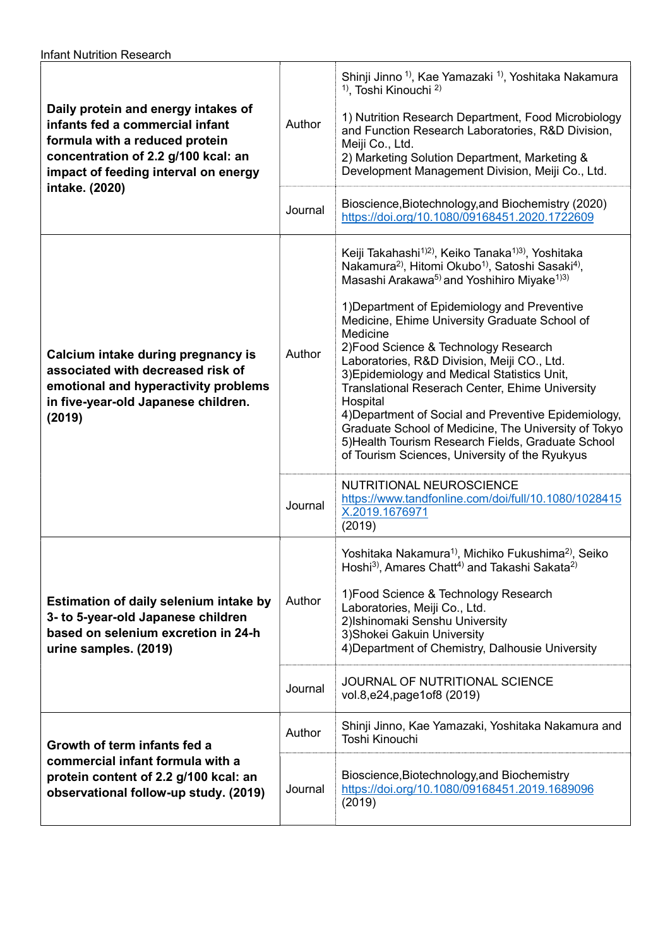| Daily protein and energy intakes of<br>infants fed a commercial infant<br>formula with a reduced protein<br>concentration of 2.2 g/100 kcal: an<br>impact of feeding interval on energy<br>intake. (2020) | Author<br>Journal | Shinji Jinno <sup>1</sup> , Kae Yamazaki <sup>1</sup> , Yoshitaka Nakamura<br><sup>1)</sup> , Toshi Kinouchi <sup>2)</sup><br>1) Nutrition Research Department, Food Microbiology<br>and Function Research Laboratories, R&D Division,<br>Meiji Co., Ltd.<br>2) Marketing Solution Department, Marketing &<br>Development Management Division, Meiji Co., Ltd.<br>Bioscience, Biotechnology, and Biochemistry (2020)<br>https://doi.org/10.1080/09168451.2020.1722609                                                                                                                                                                                                                                                                                                                |
|-----------------------------------------------------------------------------------------------------------------------------------------------------------------------------------------------------------|-------------------|--------------------------------------------------------------------------------------------------------------------------------------------------------------------------------------------------------------------------------------------------------------------------------------------------------------------------------------------------------------------------------------------------------------------------------------------------------------------------------------------------------------------------------------------------------------------------------------------------------------------------------------------------------------------------------------------------------------------------------------------------------------------------------------|
| Calcium intake during pregnancy is<br>associated with decreased risk of<br>emotional and hyperactivity problems<br>in five-year-old Japanese children.<br>(2019)                                          | Author            | Keiji Takahashi <sup>1)2)</sup> , Keiko Tanaka <sup>1)3)</sup> , Yoshitaka<br>Nakamura <sup>2)</sup> , Hitomi Okubo <sup>1)</sup> , Satoshi Sasaki <sup>4)</sup> ,<br>Masashi Arakawa <sup>5)</sup> and Yoshihiro Miyake <sup>1)3)</sup><br>1) Department of Epidemiology and Preventive<br>Medicine, Ehime University Graduate School of<br>Medicine<br>2) Food Science & Technology Research<br>Laboratories, R&D Division, Meiji CO., Ltd.<br>3) Epidemiology and Medical Statistics Unit,<br>Translational Reserach Center, Ehime University<br>Hospital<br>4) Department of Social and Preventive Epidemiology,<br>Graduate School of Medicine, The University of Tokyo<br>5) Health Tourism Research Fields, Graduate School<br>of Tourism Sciences, University of the Ryukyus |
|                                                                                                                                                                                                           | Journal           | NUTRITIONAL NEUROSCIENCE<br>https://www.tandfonline.com/doi/full/10.1080/1028415<br>X.2019.1676971<br>(2019)                                                                                                                                                                                                                                                                                                                                                                                                                                                                                                                                                                                                                                                                         |
| Estimation of daily selenium intake by<br>3- to 5-year-old Japanese children<br>based on selenium excretion in 24-h<br>urine samples. (2019)                                                              | Author            | Yoshitaka Nakamura <sup>1)</sup> , Michiko Fukushima <sup>2)</sup> , Seiko<br>Hoshi <sup>3</sup> , Amares Chatt <sup>4</sup> ) and Takashi Sakata <sup>2)</sup><br>1) Food Science & Technology Research<br>Laboratories, Meiji Co., Ltd.<br>2) Ishinomaki Senshu University<br>3) Shokei Gakuin University<br>4) Department of Chemistry, Dalhousie University                                                                                                                                                                                                                                                                                                                                                                                                                      |
|                                                                                                                                                                                                           | Journal           | JOURNAL OF NUTRITIONAL SCIENCE<br>vol.8,e24,page1of8 (2019)                                                                                                                                                                                                                                                                                                                                                                                                                                                                                                                                                                                                                                                                                                                          |
| Growth of term infants fed a<br>commercial infant formula with a<br>protein content of 2.2 g/100 kcal: an<br>observational follow-up study. (2019)                                                        | Author            | Shinji Jinno, Kae Yamazaki, Yoshitaka Nakamura and<br>Toshi Kinouchi                                                                                                                                                                                                                                                                                                                                                                                                                                                                                                                                                                                                                                                                                                                 |
|                                                                                                                                                                                                           | Journal           | Bioscience, Biotechnology, and Biochemistry<br>https://doi.org/10.1080/09168451.2019.1689096<br>(2019)                                                                                                                                                                                                                                                                                                                                                                                                                                                                                                                                                                                                                                                                               |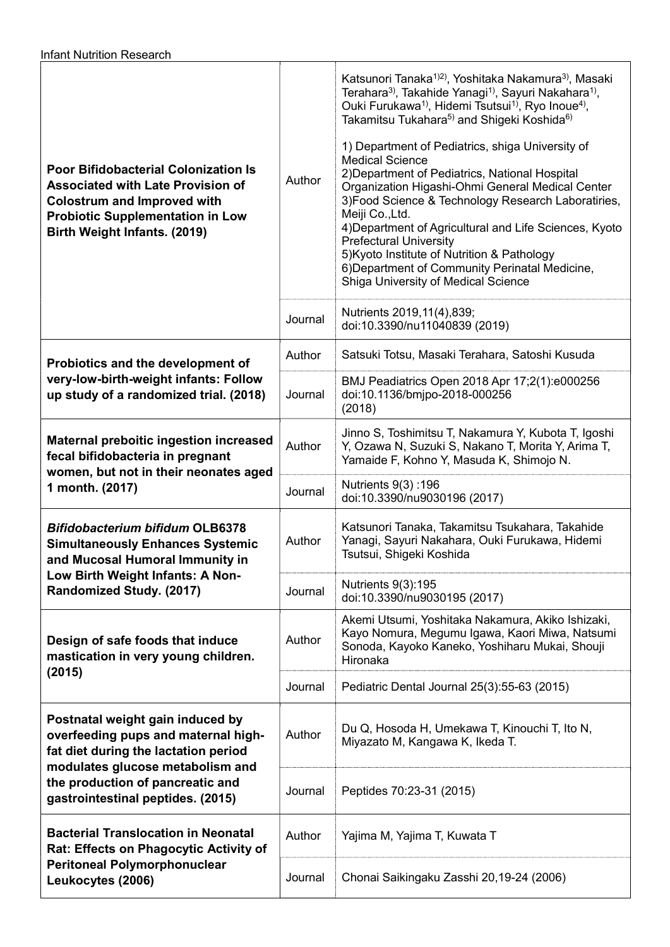| <b>Poor Bifidobacterial Colonization Is</b><br><b>Associated with Late Provision of</b><br><b>Colostrum and Improved with</b><br><b>Probiotic Supplementation in Low</b><br>Birth Weight Infants. (2019)                     | Author<br>Journal | Katsunori Tanaka <sup>1)2)</sup> , Yoshitaka Nakamura <sup>3)</sup> , Masaki<br>Terahara <sup>3)</sup> , Takahide Yanagi <sup>1)</sup> , Sayuri Nakahara <sup>1)</sup> ,<br>Ouki Furukawa <sup>1)</sup> , Hidemi Tsutsui <sup>1)</sup> , Ryo Inoue <sup>4)</sup> ,<br>Takamitsu Tukahara <sup>5)</sup> and Shigeki Koshida <sup>6)</sup><br>1) Department of Pediatrics, shiga University of<br><b>Medical Science</b><br>2) Department of Pediatrics, National Hospital<br>Organization Higashi-Ohmi General Medical Center<br>3) Food Science & Technology Research Laboratiries,<br>Meiji Co., Ltd.<br>4) Department of Agricultural and Life Sciences, Kyoto<br><b>Prefectural University</b><br>5) Kyoto Institute of Nutrition & Pathology<br>6) Department of Community Perinatal Medicine,<br>Shiga University of Medical Science<br>Nutrients 2019, 11(4), 839; |
|------------------------------------------------------------------------------------------------------------------------------------------------------------------------------------------------------------------------------|-------------------|--------------------------------------------------------------------------------------------------------------------------------------------------------------------------------------------------------------------------------------------------------------------------------------------------------------------------------------------------------------------------------------------------------------------------------------------------------------------------------------------------------------------------------------------------------------------------------------------------------------------------------------------------------------------------------------------------------------------------------------------------------------------------------------------------------------------------------------------------------------------------|
|                                                                                                                                                                                                                              |                   | doi:10.3390/nu11040839 (2019)                                                                                                                                                                                                                                                                                                                                                                                                                                                                                                                                                                                                                                                                                                                                                                                                                                            |
| Probiotics and the development of<br>very-low-birth-weight infants: Follow<br>up study of a randomized trial. (2018)                                                                                                         | Author            | Satsuki Totsu, Masaki Terahara, Satoshi Kusuda                                                                                                                                                                                                                                                                                                                                                                                                                                                                                                                                                                                                                                                                                                                                                                                                                           |
|                                                                                                                                                                                                                              | Journal           | BMJ Peadiatrics Open 2018 Apr 17;2(1):e000256<br>doi:10.1136/bmjpo-2018-000256<br>(2018)                                                                                                                                                                                                                                                                                                                                                                                                                                                                                                                                                                                                                                                                                                                                                                                 |
| <b>Maternal preboitic ingestion increased</b><br>fecal bifidobacteria in pregnant<br>women, but not in their neonates aged<br>1 month. (2017)                                                                                | Author            | Jinno S, Toshimitsu T, Nakamura Y, Kubota T, Igoshi<br>Y, Ozawa N, Suzuki S, Nakano T, Morita Y, Arima T,<br>Yamaide F, Kohno Y, Masuda K, Shimojo N.                                                                                                                                                                                                                                                                                                                                                                                                                                                                                                                                                                                                                                                                                                                    |
|                                                                                                                                                                                                                              | Journal           | Nutrients 9(3): 196<br>doi:10.3390/nu9030196 (2017)                                                                                                                                                                                                                                                                                                                                                                                                                                                                                                                                                                                                                                                                                                                                                                                                                      |
| <b>Bifidobacterium bifidum OLB6378</b><br><b>Simultaneously Enhances Systemic</b><br>and Mucosal Humoral Immunity in<br>Low Birth Weight Infants: A Non-<br>Randomized Study. (2017)                                         | Author            | Katsunori Tanaka, Takamitsu Tsukahara, Takahide<br>Yanagi, Sayuri Nakahara, Ouki Furukawa, Hidemi<br>Tsutsui, Shigeki Koshida                                                                                                                                                                                                                                                                                                                                                                                                                                                                                                                                                                                                                                                                                                                                            |
|                                                                                                                                                                                                                              | Journal           | Nutrients 9(3):195<br>doi:10.3390/nu9030195 (2017)                                                                                                                                                                                                                                                                                                                                                                                                                                                                                                                                                                                                                                                                                                                                                                                                                       |
| Design of safe foods that induce<br>mastication in very young children.<br>(2015)                                                                                                                                            | Author            | Akemi Utsumi, Yoshitaka Nakamura, Akiko Ishizaki,<br>Kayo Nomura, Megumu Igawa, Kaori Miwa, Natsumi<br>Sonoda, Kayoko Kaneko, Yoshiharu Mukai, Shouji<br>Hironaka                                                                                                                                                                                                                                                                                                                                                                                                                                                                                                                                                                                                                                                                                                        |
|                                                                                                                                                                                                                              | Journal           | Pediatric Dental Journal 25(3):55-63 (2015)                                                                                                                                                                                                                                                                                                                                                                                                                                                                                                                                                                                                                                                                                                                                                                                                                              |
| Postnatal weight gain induced by<br>overfeeding pups and maternal high-<br>fat diet during the lactation period<br>modulates glucose metabolism and<br>the production of pancreatic and<br>gastrointestinal peptides. (2015) | Author            | Du Q, Hosoda H, Umekawa T, Kinouchi T, Ito N,<br>Miyazato M, Kangawa K, Ikeda T.                                                                                                                                                                                                                                                                                                                                                                                                                                                                                                                                                                                                                                                                                                                                                                                         |
|                                                                                                                                                                                                                              | Journal           | Peptides 70:23-31 (2015)                                                                                                                                                                                                                                                                                                                                                                                                                                                                                                                                                                                                                                                                                                                                                                                                                                                 |
| <b>Bacterial Translocation in Neonatal</b><br>Rat: Effects on Phagocytic Activity of<br><b>Peritoneal Polymorphonuclear</b><br>Leukocytes (2006)                                                                             | Author            | Yajima M, Yajima T, Kuwata T                                                                                                                                                                                                                                                                                                                                                                                                                                                                                                                                                                                                                                                                                                                                                                                                                                             |
|                                                                                                                                                                                                                              | Journal           | Chonai Saikingaku Zasshi 20,19-24 (2006)                                                                                                                                                                                                                                                                                                                                                                                                                                                                                                                                                                                                                                                                                                                                                                                                                                 |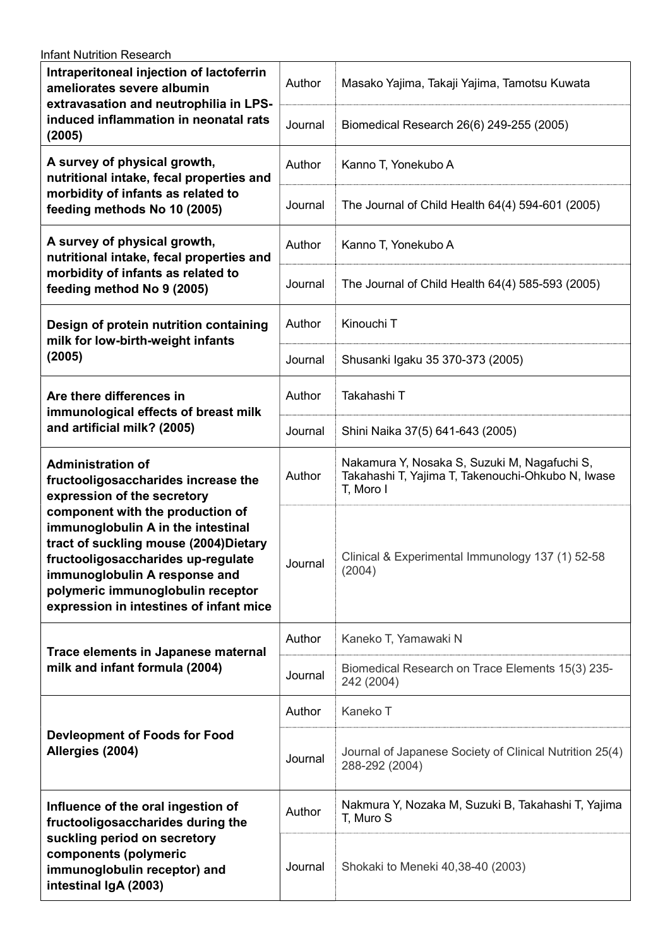| <b>Infant Nutrition Research</b>                                                                                                                                                                                                                                                                                                                                         |         |                                                                                                                |  |  |
|--------------------------------------------------------------------------------------------------------------------------------------------------------------------------------------------------------------------------------------------------------------------------------------------------------------------------------------------------------------------------|---------|----------------------------------------------------------------------------------------------------------------|--|--|
| Intraperitoneal injection of lactoferrin<br>ameliorates severe albumin<br>extravasation and neutrophilia in LPS-<br>induced inflammation in neonatal rats<br>(2005)                                                                                                                                                                                                      | Author  | Masako Yajima, Takaji Yajima, Tamotsu Kuwata                                                                   |  |  |
|                                                                                                                                                                                                                                                                                                                                                                          | Journal | Biomedical Research 26(6) 249-255 (2005)                                                                       |  |  |
| A survey of physical growth,<br>nutritional intake, fecal properties and<br>morbidity of infants as related to<br>feeding methods No 10 (2005)                                                                                                                                                                                                                           | Author  | Kanno T, Yonekubo A                                                                                            |  |  |
|                                                                                                                                                                                                                                                                                                                                                                          | Journal | The Journal of Child Health 64(4) 594-601 (2005)                                                               |  |  |
| A survey of physical growth,<br>nutritional intake, fecal properties and<br>morbidity of infants as related to<br>feeding method No 9 (2005)                                                                                                                                                                                                                             | Author  | Kanno T, Yonekubo A                                                                                            |  |  |
|                                                                                                                                                                                                                                                                                                                                                                          | Journal | The Journal of Child Health 64(4) 585-593 (2005)                                                               |  |  |
| Design of protein nutrition containing<br>milk for low-birth-weight infants<br>(2005)                                                                                                                                                                                                                                                                                    | Author  | Kinouchi T                                                                                                     |  |  |
|                                                                                                                                                                                                                                                                                                                                                                          | Journal | Shusanki Igaku 35 370-373 (2005)                                                                               |  |  |
| Are there differences in<br>immunological effects of breast milk<br>and artificial milk? (2005)                                                                                                                                                                                                                                                                          | Author  | Takahashi T                                                                                                    |  |  |
|                                                                                                                                                                                                                                                                                                                                                                          | Journal | Shini Naika 37(5) 641-643 (2005)                                                                               |  |  |
| <b>Administration of</b><br>fructooligosaccharides increase the<br>expression of the secretory<br>component with the production of<br>immunoglobulin A in the intestinal<br>tract of suckling mouse (2004)Dietary<br>fructooligosaccharides up-regulate<br>immunoglobulin A response and<br>polymeric immunoglobulin receptor<br>expression in intestines of infant mice | Author  | Nakamura Y, Nosaka S, Suzuki M, Nagafuchi S,<br>Takahashi T, Yajima T, Takenouchi-Ohkubo N, Iwase<br>T, Moro I |  |  |
|                                                                                                                                                                                                                                                                                                                                                                          | Journal | Clinical & Experimental Immunology 137 (1) 52-58<br>(2004)                                                     |  |  |
| Trace elements in Japanese maternal<br>milk and infant formula (2004)                                                                                                                                                                                                                                                                                                    | Author  | Kaneko T, Yamawaki N                                                                                           |  |  |
|                                                                                                                                                                                                                                                                                                                                                                          | Journal | Biomedical Research on Trace Elements 15(3) 235-<br>242 (2004)                                                 |  |  |
| <b>Devleopment of Foods for Food</b><br>Allergies (2004)                                                                                                                                                                                                                                                                                                                 | Author  | Kaneko T                                                                                                       |  |  |
|                                                                                                                                                                                                                                                                                                                                                                          | Journal | Journal of Japanese Society of Clinical Nutrition 25(4)<br>288-292 (2004)                                      |  |  |
| Influence of the oral ingestion of<br>fructooligosaccharides during the<br>suckling period on secretory<br>components (polymeric<br>immunoglobulin receptor) and<br>intestinal IgA (2003)                                                                                                                                                                                | Author  | Nakmura Y, Nozaka M, Suzuki B, Takahashi T, Yajima<br>T, Muro S                                                |  |  |
|                                                                                                                                                                                                                                                                                                                                                                          | Journal | Shokaki to Meneki 40,38-40 (2003)                                                                              |  |  |